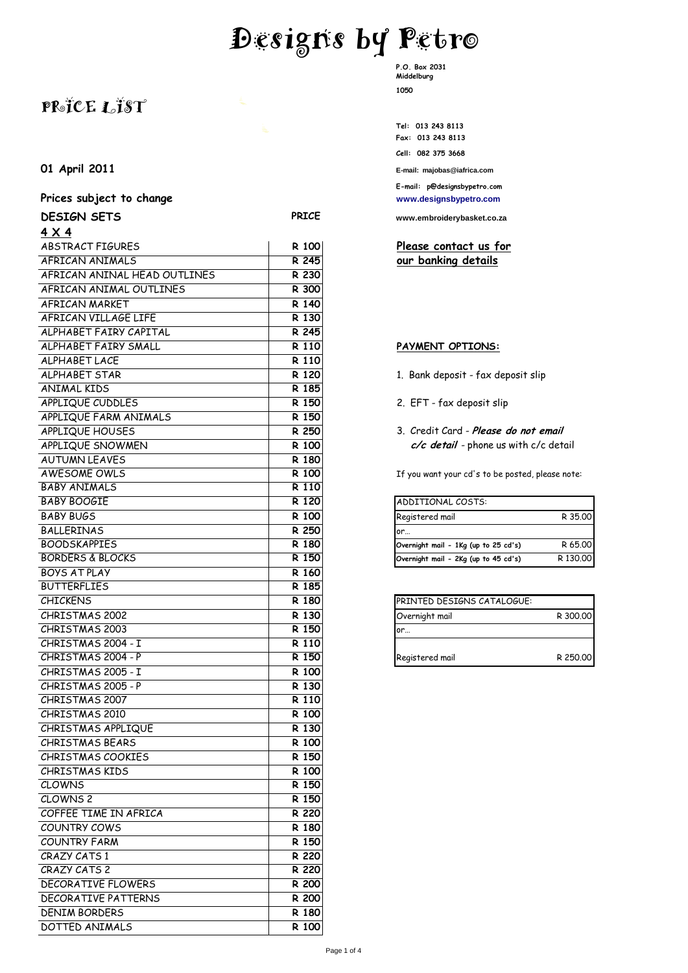# **Designs by Petro**

## **PRICE LIST**

#### **01 April 2011 E-mail: majobas@iafrica.com**

#### Prices subject to change **Prices** subject to change

| <b>DESIGN SETS</b>           | <b>PRICE</b> | www.embroiderybasket.co.za                       |          |
|------------------------------|--------------|--------------------------------------------------|----------|
| $4 \times 4$                 |              |                                                  |          |
| ABSTRACT FIGURES             | R 100        | Please contact us for                            |          |
| AFRICAN ANIMALS              | R 245        | our banking details                              |          |
| AFRICAN ANINAL HEAD OUTLINES | R 230        |                                                  |          |
| AFRICAN ANIMAL OUTLINES      | R 300        |                                                  |          |
| AFRICAN MARKET               | R 140        |                                                  |          |
| AFRICAN VILLAGE LIFE         | R 130        |                                                  |          |
| ALPHABET FAIRY CAPITAL       | R 245        |                                                  |          |
| ALPHABET FAIRY SMALL         | R 110        | PAYMENT OPTIONS:                                 |          |
| <b>ALPHABET LACE</b>         | R 110        |                                                  |          |
| <b>ALPHABET STAR</b>         | R 120        | 1. Bank deposit - fax deposit slip               |          |
| <b>ANIMAL KIDS</b>           | R 185        |                                                  |          |
| APPLIQUE CUDDLES             | R 150        | 2. EFT - fax deposit slip                        |          |
| APPLIQUE FARM ANIMALS        | R 150        |                                                  |          |
| APPLIQUE HOUSES              | R 250        | 3. Credit Card - Please do not email             |          |
| APPLIQUE SNOWMEN             | R 100        | c/c detail - phone us with c/c detail            |          |
| <b>AUTUMN LEAVES</b>         | R 180        |                                                  |          |
| AWESOME OWLS                 | R 100        | If you want your cd's to be posted, please note: |          |
| <b>BABY ANIMALS</b>          | R 110        |                                                  |          |
| <b>BABY BOOGIE</b>           | R 120        | ADDITIONAL COSTS:                                |          |
| <b>BABY BUGS</b>             | R 100        | Registered mail                                  | R 35.00  |
| <b>BALLERINAS</b>            | R 250        | or…                                              |          |
| <b>BOODSKAPPIES</b>          | R 180        | Overnight mail - 1Kg (up to 25 cd's)             | R 65.00  |
| <b>BORDERS &amp; BLOCKS</b>  | R 150        | Overnight mail - 2Kg (up to 45 cd's)             | R 130.00 |
| <b>BOYS AT PLAY</b>          | R 160        |                                                  |          |
| <b>BUTTERFLIES</b>           | R 185        |                                                  |          |
| <b>CHICKENS</b>              | R 180        | PRINTED DESIGNS CATALOGUE:                       |          |
| CHRISTMAS 2002               | R 130        | Overnight mail                                   | R 300,00 |
| CHRISTMAS 2003               | R 150        | or                                               |          |
| CHRISTMAS 2004 - I           | R 110        |                                                  |          |
| CHRISTMAS 2004 - P           | R 150        | Registered mail                                  | R 250,00 |
| CHRISTMAS 2005 - I           | R 100        |                                                  |          |
| CHRISTMAS 2005 - P           | R 130        |                                                  |          |
| CHRISTMAS 2007               | R 110        |                                                  |          |
| CHRISTMAS 2010               | R 100        |                                                  |          |
| CHRISTMAS APPLIQUE           | R 130        |                                                  |          |
| <b>CHRISTMAS BEARS</b>       | R 100        |                                                  |          |
| CHRISTMAS COOKIES            | R 150        |                                                  |          |
| <b>CHRISTMAS KIDS</b>        | R 100        |                                                  |          |
| <b>CLOWNS</b>                | R 150        |                                                  |          |
| CLOWNS <sub>2</sub>          | R 150        |                                                  |          |
| COFFEE TIME IN AFRICA        | R 220        |                                                  |          |
| COUNTRY COWS                 | R 180        |                                                  |          |
| <b>COUNTRY FARM</b>          | R 150        |                                                  |          |
| CRAZY CATS 1                 | R 220        |                                                  |          |
| CRAZY CATS 2                 | R 220        |                                                  |          |
| DECORATIVE FLOWERS           | R 200        |                                                  |          |
| <b>DECORATIVE PATTERNS</b>   | R 200        |                                                  |          |
| <b>DENIM BORDERS</b>         | R 180        |                                                  |          |
| DOTTED ANIMALS               | R 100        |                                                  |          |
|                              |              |                                                  |          |

**P.O. Box 2031 Middelburg 1050**

**Tel: 013 243 8113 Fax: 013 243 8113 Cell: 082 375 3668**

**E-mail: p@designsbypetro.com**

**DESIGN SETS PRICE [www.embroiderybasket.co.za](http://www.embroiderybasket.co.za/)**

#### Please contact us for our banking details

#### **PAYMENT OPTIONS:**

- 1. Bank deposit fax deposit slip
- 2. EFT fax deposit slip
- 3. Credit Card Please do not email c/c detail - phone us with c/c detail

| ADDITIONAL COSTS:                    |          |
|--------------------------------------|----------|
| Registered mail                      | R 35.00  |
| or                                   |          |
| Overnight mail - 1Kg (up to 25 cd's) | R 65.00  |
| Overnight mail - 2Kg (up to 45 cd's) | R 130,00 |

| PRINTED DESIGNS CATALOGUE: |          |
|----------------------------|----------|
| Overnight mail             | R 300,00 |
| or…                        |          |
|                            |          |
| Registered mail            | R 250.00 |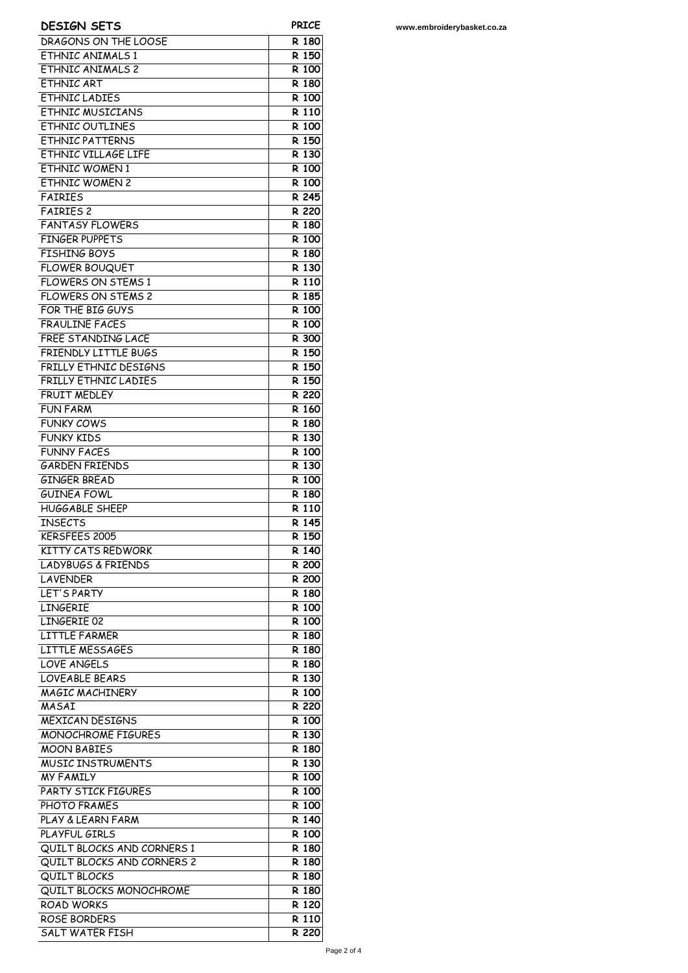| <b>DESIGN SETS</b>                             | <b>PRICE</b>       |
|------------------------------------------------|--------------------|
| DRAGONS ON THE LOOSE                           | R 180              |
| FTHNIC ANIMALS 1                               | R 150              |
| <b>ETHNIC ANIMALS 2</b>                        | R 100              |
| <b>ETHNIC ART</b>                              | R 180              |
| <b>FTHNIC LADIFS</b>                           | R 100              |
| <b>ETHNIC MUSICIANS</b>                        | R 110              |
| ETHNIC OUTLINES                                | R 100              |
| <b>ETHNIC PATTERNS</b><br>ETHNIC VILLAGE LIFE  | R 150<br>R 130     |
| <b>ETHNIC WOMEN1</b>                           | R 100              |
| <b>ETHNIC WOMEN 2</b>                          | R 100              |
| <b>FAIRIES</b>                                 | R 245              |
| <b>FAIRIES 2</b>                               | R 220              |
| <b>FANTASY FLOWERS</b>                         | R 180              |
| <b>FINGER PUPPETS</b>                          | R 100              |
| <b>FISHING BOYS</b>                            | R 180              |
| <b>FLOWER BOUQUET</b>                          | R 130              |
| <b>FLOWERS ON STEMS 1</b>                      | R 110              |
| <b>FLOWERS ON STEMS 2</b>                      | R 185              |
| FOR THE BIG GUYS                               | R 100              |
| <b>FRAULINE FACES</b>                          | R 100              |
| <b>FREE STANDING LACE</b>                      | R 300              |
| <b>FRIENDLY LITTLE BUGS</b>                    | R 150              |
| <b>FRILLY ETHNIC DESIGNS</b>                   | R 150              |
| FRILLY ETHNIC LADIES                           | R 150              |
| <b>FRUIT MEDLEY</b>                            | R 220<br>R 160     |
| FUN FARM<br><b>FUNKY COWS</b>                  | R 180              |
| <b>FUNKY KIDS</b>                              | R 130              |
| <b>FUNNY FACES</b>                             | R 100              |
| <b>GARDEN FRIENDS</b>                          | R 130              |
| <b>GINGER BREAD</b>                            | R 100              |
| <b>GUINEA FOWL</b>                             | R 180              |
| <b>HUGGABLE SHEEP</b>                          | R 110              |
| <b>INSECTS</b>                                 | R 145              |
| KERSFEES 2005                                  | R 150              |
| KITTY CATS REDWORK                             | R 140              |
| <b>LADYBUGS &amp; FRIENDS</b>                  | R 200              |
| LAVENDER                                       | R 200              |
| LET'S PARTY                                    | R 180              |
| <b>LINGERIE</b>                                | R 100              |
| LINGERIE 02                                    | R 100              |
| <b>LITTLE FARMER</b>                           | R 180              |
| LITTLE MESSAGES<br>LOVE ANGELS                 | R 180<br>R 180     |
| <b>LOVEABLE BEARS</b>                          | R 130              |
| MAGIC MACHINERY                                | $\overline{R}$ 100 |
| MASAI                                          | R 220              |
| <b>MEXICAN DESIGNS</b>                         | R 100              |
| <b>MONOCHROME FIGURES</b>                      | R 130              |
| <b>MOON BABIES</b>                             | R 180              |
| <b>MUSIC INSTRUMENTS</b>                       | R 130              |
| <b>MY FAMILY</b>                               | R 100              |
| PARTY STICK FIGURES                            | R 100              |
| PHOTO FRAMES                                   | R 100              |
| PLAY & LEARN FARM                              | R 140              |
| PLAYFUL GIRLS                                  | R 100              |
| QUILT BLOCKS AND CORNERS 1                     | R 180              |
| QUILT BLOCKS AND CORNERS 2                     | R 180              |
| <b>QUILT BLOCKS</b><br>QUILT BLOCKS MONOCHROME | R 180<br>R 180     |
| <b>ROAD WORKS</b>                              | R 120              |
| ROSE BORDERS                                   | R 110              |
| <b>SALT WATER FISH</b>                         | R 220              |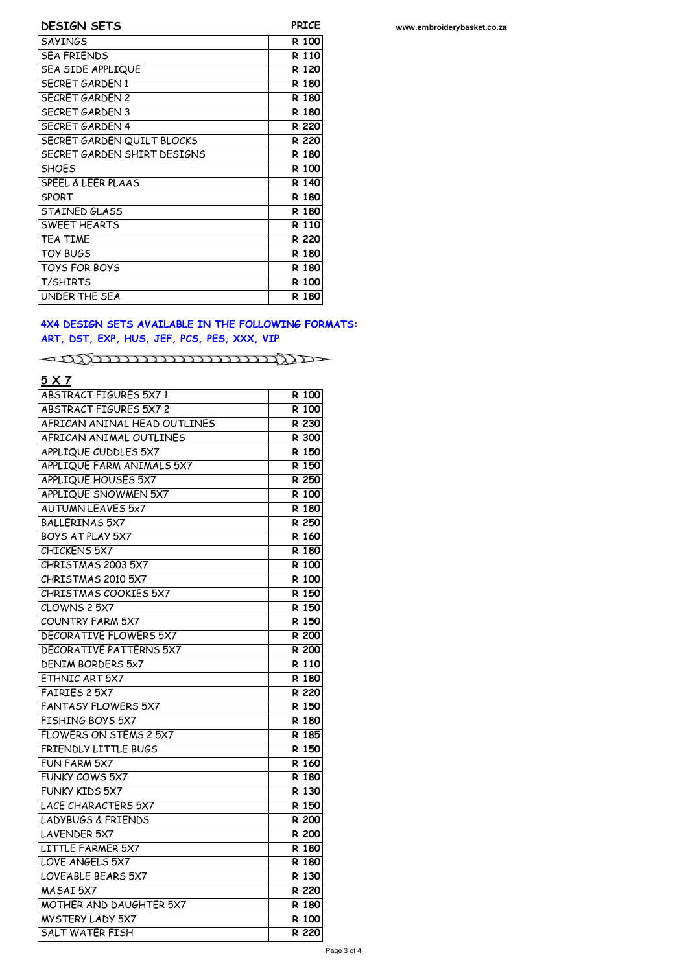| <b>DESIGN SETS</b>            | <b>PRICE</b> |
|-------------------------------|--------------|
| <b>SAYINGS</b>                | R 100        |
| <b>SFA FRIENDS</b>            | R 110        |
| SEA SIDE APPLIQUE             | R 120        |
| SECRET GARDEN 1               | R 180        |
| SECRET GARDEN 2               | R 180        |
| <b>SECRET GARDEN 3</b>        | R 180        |
| SECRET GARDEN 4               | R 220        |
| SECRET GARDEN QUILT BLOCKS    | R 220        |
| SECRET GARDEN SHIRT DESIGNS   | R 180        |
| <b>SHOFS</b>                  | R 100        |
| <b>SPEEL &amp; LEER PLAAS</b> | R 140        |
| <b>SPORT</b>                  | R 180        |
| STAINED GLASS                 | R 180        |
| SWEET HEARTS                  | R 110        |
| <b>TEA TIME</b>               | R 220        |
| <b>TOY BUGS</b>               | R 180        |
| <b>TOYS FOR BOYS</b>          | R 180        |
| <b>T/SHIRTS</b>               | R 100        |
| UNDER THE SEA                 | R 180        |

#### **4X4 DESIGN SETS AVAILABLE IN THE FOLLOWING FORMATS: ART, DST, EXP, HUS, JEF, PCS, PES, XXX, VIP**

 $\rightarrow 0$ 

### **5 X 7**

| <b>ABSTRACT FIGURES 5X71</b>   | R 100              |
|--------------------------------|--------------------|
| <b>ABSTRACT FIGURES 5X7 2</b>  | R 100              |
| AFRICAN ANINAL HEAD OUTLINES   | R 230              |
| AFRICAN ANIMAL OUTLINES        | R 300              |
| APPLIQUE CUDDLES 5X7           | R 150              |
| APPLIQUE FARM ANIMALS 5X7      | $\overline{R}$ 150 |
| APPLIQUE HOUSES 5X7            | R 250              |
| APPLIQUE SNOWMEN 5X7           | R 100              |
| AUTUMN LEAVES 5x7              | R 180              |
| <b>BALLERINAS 5X7</b>          | R 250              |
| BOYS AT PLAY 5X7               | R 160              |
| CHICKENS 5X7                   | R 180              |
| CHRISTMAS 2003 5X7             | R 100              |
| CHRISTMAS 2010 5X7             | R 100              |
| CHRISTMAS COOKIES 5X7          | R 150              |
| CLOWNS 2 5X7                   | R 150              |
| COUNTRY FARM 5X7               | R 150              |
| <b>DECORATIVE FLOWERS 5X7</b>  | R 200              |
| <b>DECORATIVE PATTERNS 5X7</b> | R 200              |
| DENIM BORDERS 5x7              | R 110              |
| ETHNIC ART 5X7                 | R 180              |
| FAIRIES 2 5X7                  | R 220              |
| <b>FANTASY FLOWERS 5X7</b>     | R 150              |
| FISHING BOYS 5X7               | R 180              |
| FLOWERS ON STEMS 2 5X7         | R 185              |
| FRIENDLY LITTLE BUGS           | R 150              |
| FUN FARM 5X7                   | R 160              |
| FUNKY COWS 5X7                 | R 180              |
| FUNKY KIDS 5X7                 | R 130              |
| <b>LACE CHARACTERS 5X7</b>     | R 150              |
| <b>LADYBUGS &amp; FRIENDS</b>  | R 200              |
| LAVENDER 5X7                   | R 200              |
| LITTLE FARMER 5X7              | R 180              |
| LOVE ANGELS 5X7                | R 180              |
| LOVEABLE BEARS 5X7             | R 130              |
| <b>MASAI 5X7</b>               | R 220              |
| <b>MOTHER AND DAUGHTER 5X7</b> | R 180              |
| <b>MYSTERY LADY 5X7</b>        | R 100              |
| SALT WATER FISH                | R 220              |